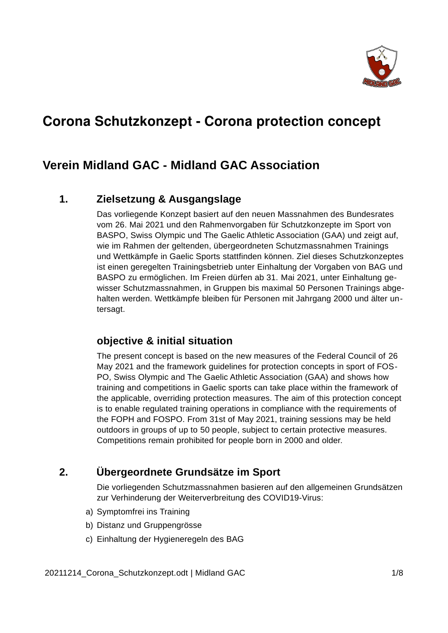

# **Corona Schutzkonzept - Corona protection concept**

## **Verein Midland GAC - Midland GAC Association**

### **1. Zielsetzung & Ausgangslage**

Das vorliegende Konzept basiert auf den neuen Massnahmen des Bundesrates vom 26. Mai 2021 und den Rahmenvorgaben für Schutzkonzepte im Sport von BASPO, Swiss Olympic und The Gaelic Athletic Association (GAA) und zeigt auf, wie im Rahmen der geltenden, übergeordneten Schutzmassnahmen Trainings und Wettkämpfe in Gaelic Sports stattfinden können. Ziel dieses Schutzkonzeptes ist einen geregelten Trainingsbetrieb unter Einhaltung der Vorgaben von BAG und BASPO zu ermöglichen. Im Freien dürfen ab 31. Mai 2021, unter Einhaltung gewisser Schutzmassnahmen, in Gruppen bis maximal 50 Personen Trainings abgehalten werden. Wettkämpfe bleiben für Personen mit Jahrgang 2000 und älter untersagt.

### **objective & initial situation**

The present concept is based on the new measures of the Federal Council of 26 May 2021 and the framework guidelines for protection concepts in sport of FOS-PO, Swiss Olympic and The Gaelic Athletic Association (GAA) and shows how training and competitions in Gaelic sports can take place within the framework of the applicable, overriding protection measures. The aim of this protection concept is to enable regulated training operations in compliance with the requirements of the FOPH and FOSPO. From 31st of May 2021, training sessions may be held outdoors in groups of up to 50 people, subject to certain protective measures. Competitions remain prohibited for people born in 2000 and older.

## **2. Übergeordnete Grundsätze im Sport**

Die vorliegenden Schutzmassnahmen basieren auf den allgemeinen Grundsätzen zur Verhinderung der Weiterverbreitung des COVID19-Virus:

- a) Symptomfrei ins Training
- b) Distanz und Gruppengrösse
- c) Einhaltung der Hygieneregeln des BAG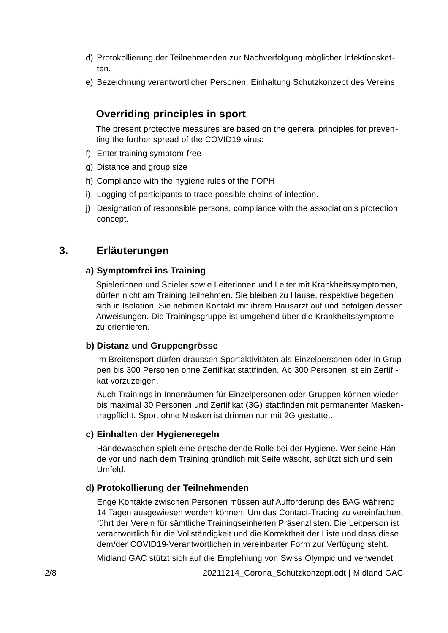- d) Protokollierung der Teilnehmenden zur Nachverfolgung möglicher Infektionsketten.
- e) Bezeichnung verantwortlicher Personen, Einhaltung Schutzkonzept des Vereins

## **Overriding principles in sport**

The present protective measures are based on the general principles for preventing the further spread of the COVID19 virus:

- f) Enter training symptom-free
- g) Distance and group size
- h) Compliance with the hygiene rules of the FOPH
- i) Logging of participants to trace possible chains of infection.
- j) Designation of responsible persons, compliance with the association's protection concept.

### **3. Erläuterungen**

### **a) Symptomfrei ins Training**

Spielerinnen und Spieler sowie Leiterinnen und Leiter mit Krankheitssymptomen, dürfen nicht am Training teilnehmen. Sie bleiben zu Hause, respektive begeben sich in Isolation. Sie nehmen Kontakt mit ihrem Hausarzt auf und befolgen dessen Anweisungen. Die Trainingsgruppe ist umgehend über die Krankheitssymptome zu orientieren.

### **b) Distanz und Gruppengrösse**

Im Breitensport dürfen draussen Sportaktivitäten als Einzelpersonen oder in Gruppen bis 300 Personen ohne Zertifikat stattfinden. Ab 300 Personen ist ein Zertifikat vorzuzeigen.

Auch Trainings in Innenräumen für Einzelpersonen oder Gruppen können wieder bis maximal 30 Personen und Zertifikat (3G) stattfinden mit permanenter Maskentragpflicht. Sport ohne Masken ist drinnen nur mit 2G gestattet.

### **c) Einhalten der Hygieneregeln**

Händewaschen spielt eine entscheidende Rolle bei der Hygiene. Wer seine Hände vor und nach dem Training gründlich mit Seife wäscht, schützt sich und sein Umfeld.

### **d) Protokollierung der Teilnehmenden**

Enge Kontakte zwischen Personen müssen auf Aufforderung des BAG während 14 Tagen ausgewiesen werden können. Um das Contact-Tracing zu vereinfachen, führt der Verein für sämtliche Trainingseinheiten Präsenzlisten. Die Leitperson ist verantwortlich für die Vollständigkeit und die Korrektheit der Liste und dass diese dem/der COVID19-Verantwortlichen in vereinbarter Form zur Verfügung steht.

Midland GAC stützt sich auf die Empfehlung von Swiss Olympic und verwendet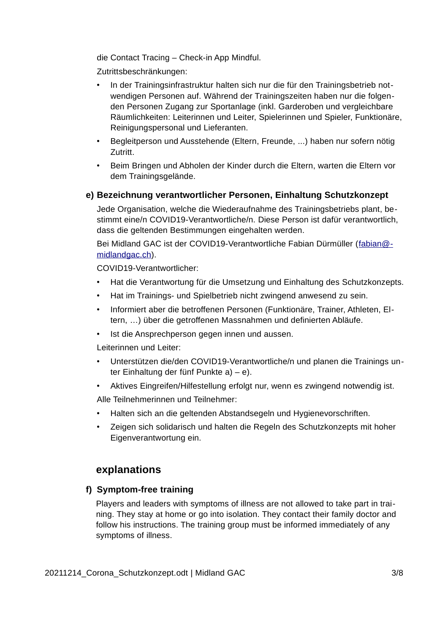die Contact Tracing – Check-in App Mindful.

Zutrittsbeschränkungen:

- In der Trainingsinfrastruktur halten sich nur die für den Trainingsbetrieb notwendigen Personen auf. Während der Trainingszeiten haben nur die folgenden Personen Zugang zur Sportanlage (inkl. Garderoben und vergleichbare Räumlichkeiten: Leiterinnen und Leiter, Spielerinnen und Spieler, Funktionäre, Reinigungspersonal und Lieferanten.
- Begleitperson und Ausstehende (Eltern, Freunde, ...) haben nur sofern nötig Zutritt.
- Beim Bringen und Abholen der Kinder durch die Eltern, warten die Eltern vor dem Trainingsgelände.

### **e) Bezeichnung verantwortlicher Personen, Einhaltung Schutzkonzept**

Jede Organisation, welche die Wiederaufnahme des Trainingsbetriebs plant, bestimmt eine/n COVID19-Verantwortliche/n. Diese Person ist dafür verantwortlich, dass die geltenden Bestimmungen eingehalten werden.

Bei Midland GAC ist der COVID19-Verantwortliche Fabian Dürmüller ([fabian@](mailto:fabian@midlandgac.ch) [midlandgac.ch](mailto:fabian@midlandgac.ch)).

COVID19-Verantwortlicher:

- Hat die Verantwortung für die Umsetzung und Einhaltung des Schutzkonzepts.
- Hat im Trainings- und Spielbetrieb nicht zwingend anwesend zu sein.
- Informiert aber die betroffenen Personen (Funktionäre, Trainer, Athleten, Eltern, …) über die getroffenen Massnahmen und definierten Abläufe.
- Ist die Ansprechperson gegen innen und aussen.

Leiterinnen und Leiter:

- Unterstützen die/den COVID19-Verantwortliche/n und planen die Trainings unter Einhaltung der fünf Punkte a) – e).
- Aktives Eingreifen/Hilfestellung erfolgt nur, wenn es zwingend notwendig ist.

Alle Teilnehmerinnen und Teilnehmer:

- Halten sich an die geltenden Abstandsegeln und Hygienevorschriften.
- Zeigen sich solidarisch und halten die Regeln des Schutzkonzepts mit hoher Eigenverantwortung ein.

### **explanations**

### **f) Symptom-free training**

Players and leaders with symptoms of illness are not allowed to take part in training. They stay at home or go into isolation. They contact their family doctor and follow his instructions. The training group must be informed immediately of any symptoms of illness.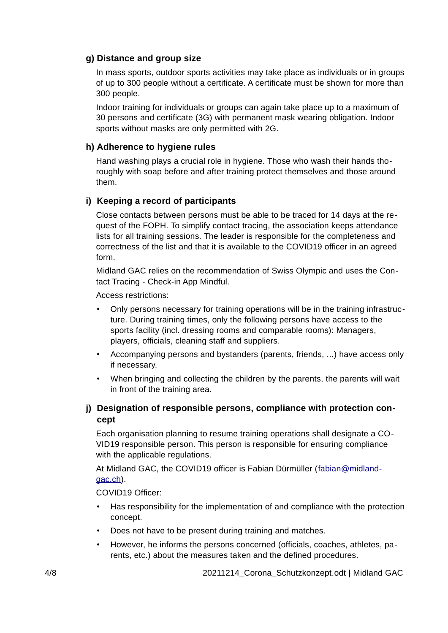### **g) Distance and group size**

In mass sports, outdoor sports activities may take place as individuals or in groups of up to 300 people without a certificate. A certificate must be shown for more than 300 people.

Indoor training for individuals or groups can again take place up to a maximum of 30 persons and certificate (3G) with permanent mask wearing obligation. Indoor sports without masks are only permitted with 2G.

### **h) Adherence to hygiene rules**

Hand washing plays a crucial role in hygiene. Those who wash their hands thoroughly with soap before and after training protect themselves and those around them.

### **i) Keeping a record of participants**

Close contacts between persons must be able to be traced for 14 days at the request of the FOPH. To simplify contact tracing, the association keeps attendance lists for all training sessions. The leader is responsible for the completeness and correctness of the list and that it is available to the COVID19 officer in an agreed form.

Midland GAC relies on the recommendation of Swiss Olympic and uses the Contact Tracing - Check-in App Mindful.

Access restrictions:

- Only persons necessary for training operations will be in the training infrastructure. During training times, only the following persons have access to the sports facility (incl. dressing rooms and comparable rooms): Managers, players, officials, cleaning staff and suppliers.
- Accompanying persons and bystanders (parents, friends, ...) have access only if necessary.
- When bringing and collecting the children by the parents, the parents will wait in front of the training area.

### **j) Designation of responsible persons, compliance with protection concept**

Each organisation planning to resume training operations shall designate a CO-VID19 responsible person. This person is responsible for ensuring compliance with the applicable regulations.

At Midland GAC, the COVID19 officer is Fabian Dürmüller (fabian @midland[gac.ch\)](mailto:fabian@midlandgac.ch).

COVID19 Officer:

- Has responsibility for the implementation of and compliance with the protection concept.
- Does not have to be present during training and matches.
- However, he informs the persons concerned (officials, coaches, athletes, parents, etc.) about the measures taken and the defined procedures.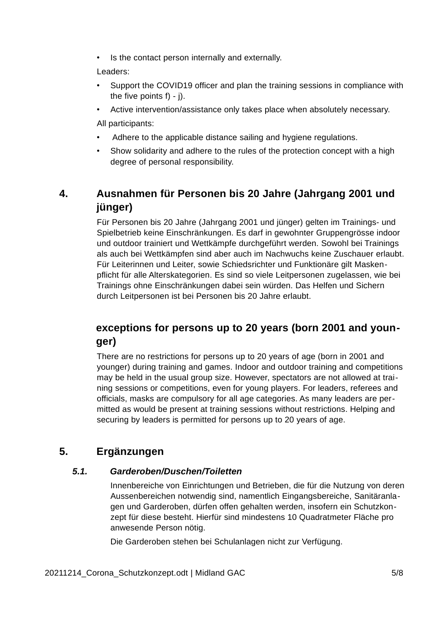Is the contact person internally and externally.

Leaders:

- Support the COVID19 officer and plan the training sessions in compliance with the five points  $f$ ) - j).
- Active intervention/assistance only takes place when absolutely necessary.

All participants:

- Adhere to the applicable distance sailing and hygiene regulations.
- Show solidarity and adhere to the rules of the protection concept with a high degree of personal responsibility.

## **4. Ausnahmen für Personen bis 20 Jahre (Jahrgang 2001 und jünger)**

Für Personen bis 20 Jahre (Jahrgang 2001 und jünger) gelten im Trainings- und Spielbetrieb keine Einschränkungen. Es darf in gewohnter Gruppengrösse indoor und outdoor trainiert und Wettkämpfe durchgeführt werden. Sowohl bei Trainings als auch bei Wettkämpfen sind aber auch im Nachwuchs keine Zuschauer erlaubt. Für Leiterinnen und Leiter, sowie Schiedsrichter und Funktionäre gilt Maskenpflicht für alle Alterskategorien. Es sind so viele Leitpersonen zugelassen, wie bei Trainings ohne Einschränkungen dabei sein würden. Das Helfen und Sichern durch Leitpersonen ist bei Personen bis 20 Jahre erlaubt.

## **exceptions for persons up to 20 years (born 2001 and younger)**

There are no restrictions for persons up to 20 years of age (born in 2001 and younger) during training and games. Indoor and outdoor training and competitions may be held in the usual group size. However, spectators are not allowed at training sessions or competitions, even for young players. For leaders, referees and officials, masks are compulsory for all age categories. As many leaders are permitted as would be present at training sessions without restrictions. Helping and securing by leaders is permitted for persons up to 20 years of age.

## **5. Ergänzungen**

### *5.1. Garderoben/Duschen/Toiletten*

Innenbereiche von Einrichtungen und Betrieben, die für die Nutzung von deren Aussenbereichen notwendig sind, namentlich Eingangsbereiche, Sanitäranlagen und Garderoben, dürfen offen gehalten werden, insofern ein Schutzkonzept für diese besteht. Hierfür sind mindestens 10 Quadratmeter Fläche pro anwesende Person nötig.

Die Garderoben stehen bei Schulanlagen nicht zur Verfügung.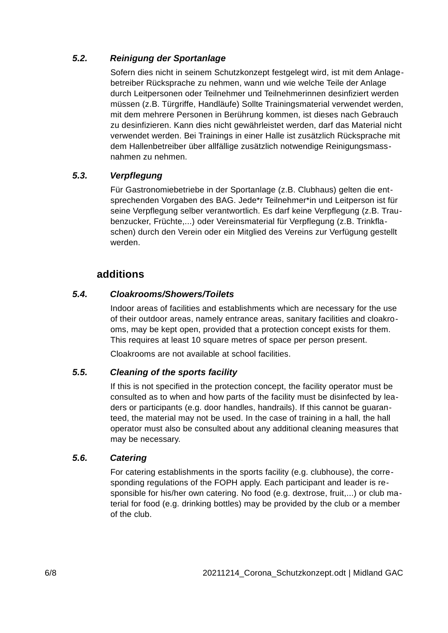### *5.2. Reinigung der Sportanlage*

Sofern dies nicht in seinem Schutzkonzept festgelegt wird, ist mit dem Anlagebetreiber Rücksprache zu nehmen, wann und wie welche Teile der Anlage durch Leitpersonen oder Teilnehmer und Teilnehmerinnen desinfiziert werden müssen (z.B. Türgriffe, Handläufe) Sollte Trainingsmaterial verwendet werden, mit dem mehrere Personen in Berührung kommen, ist dieses nach Gebrauch zu desinfizieren. Kann dies nicht gewährleistet werden, darf das Material nicht verwendet werden. Bei Trainings in einer Halle ist zusätzlich Rücksprache mit dem Hallenbetreiber über allfällige zusätzlich notwendige Reinigungsmassnahmen zu nehmen.

### *5.3. Verpflegung*

Für Gastronomiebetriebe in der Sportanlage (z.B. Clubhaus) gelten die entsprechenden Vorgaben des BAG. Jede\*r Teilnehmer\*in und Leitperson ist für seine Verpflegung selber verantwortlich. Es darf keine Verpflegung (z.B. Traubenzucker, Früchte,...) oder Vereinsmaterial für Verpflegung (z.B. Trinkflaschen) durch den Verein oder ein Mitglied des Vereins zur Verfügung gestellt werden.

## **additions**

### *5.4. Cloakrooms/Showers/Toilets*

Indoor areas of facilities and establishments which are necessary for the use of their outdoor areas, namely entrance areas, sanitary facilities and cloakrooms, may be kept open, provided that a protection concept exists for them. This requires at least 10 square metres of space per person present.

Cloakrooms are not available at school facilities.

### *5.5. Cleaning of the sports facility*

If this is not specified in the protection concept, the facility operator must be consulted as to when and how parts of the facility must be disinfected by leaders or participants (e.g. door handles, handrails). If this cannot be guaranteed, the material may not be used. In the case of training in a hall, the hall operator must also be consulted about any additional cleaning measures that may be necessary.

### *5.6. Catering*

For catering establishments in the sports facility (e.g. clubhouse), the corresponding regulations of the FOPH apply. Each participant and leader is responsible for his/her own catering. No food (e.g. dextrose, fruit,...) or club material for food (e.g. drinking bottles) may be provided by the club or a member of the club.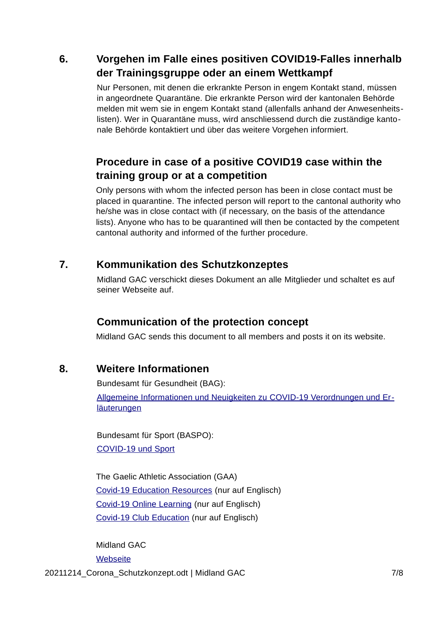## **6. Vorgehen im Falle eines positiven COVID19-Falles innerhalb der Trainingsgruppe oder an einem Wettkampf**

Nur Personen, mit denen die erkrankte Person in engem Kontakt stand, müssen in angeordnete Quarantäne. Die erkrankte Person wird der kantonalen Behörde melden mit wem sie in engem Kontakt stand (allenfalls anhand der Anwesenheitslisten). Wer in Quarantäne muss, wird anschliessend durch die zuständige kantonale Behörde kontaktiert und über das weitere Vorgehen informiert.

## **Procedure in case of a positive COVID19 case within the training group or at a competition**

Only persons with whom the infected person has been in close contact must be placed in quarantine. The infected person will report to the cantonal authority who he/she was in close contact with (if necessary, on the basis of the attendance lists). Anyone who has to be quarantined will then be contacted by the competent cantonal authority and informed of the further procedure.

## **7. Kommunikation des Schutzkonzeptes**

Midland GAC verschickt dieses Dokument an alle Mitglieder und schaltet es auf seiner Webseite auf.

## **Communication of the protection concept**

Midland GAC sends this document to all members and posts it on its website.

### **8. Weitere Informationen**

Bundesamt für Gesundheit (BAG): [Allgemeine Informationen und Neuigkeiten zu COVID-19 Verordnungen und Er](https://www.bag.admin.ch/bag/de/home/krankheiten/ausbrueche-epidemien-pandemien/aktuelle-ausbrueche-epidemien/novel-cov/massnahmen-des-bundes.html)**[läuterungen](https://www.bag.admin.ch/bag/de/home/krankheiten/ausbrueche-epidemien-pandemien/aktuelle-ausbrueche-epidemien/novel-cov/massnahmen-des-bundes.html)** 

Bundesamt für Sport (BASPO): [COVID-19 und Sport](https://www.baspo.admin.ch/de/aktuell/covid-19-sport.html)

The Gaelic Athletic Association (GAA) [Covid-19 Education Resources](https://learning.gaa.ie/covid19resources) (nur auf Englisch) [Covid-19 Online Learning](https://learning.gaa.ie/covid19learning) (nur auf Englisch) [Covid-19 Club Education](https://learning.gaa.ie/covid19) (nur auf Englisch)

Midland GAC **[Webseite](https://www.midlandgac.ch/)** 

20211214\_Corona\_Schutzkonzept.odt | Midland GAC 7/8